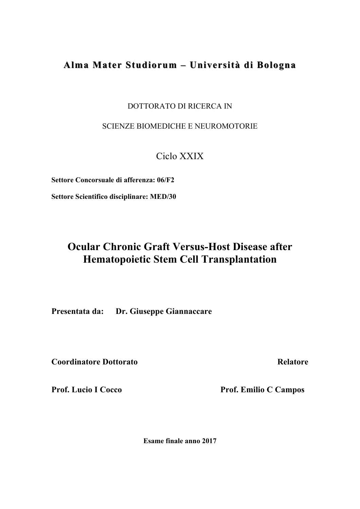# Alma Mater Studiorum – Università di Bologna

DOTTORATO DI RICERCA IN

SCIENZE BIOMEDICHE E NEUROMOTORIE

Ciclo XXIX

**Settore Concorsuale di afferenza: 06/F2**

**Settore Scientifico disciplinare: MED/30**

# **Ocular Chronic Graft Versus-Host Disease after Hematopoietic Stem Cell Transplantation**

**Presentata da: Dr. Giuseppe Giannaccare**

**Coordinatore Dottorato Relatore** Relatore

Prof. Lucio I Cocco Prof. Emilio C Campos

**Esame finale anno 2017**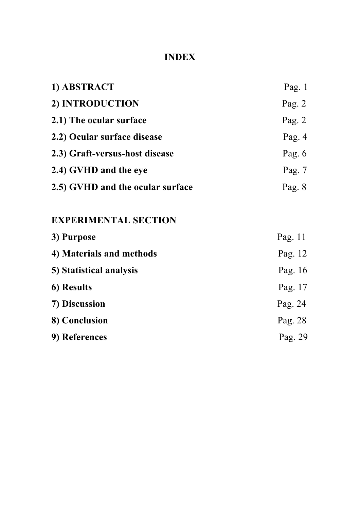# **INDEX**

| 1) ABSTRACT                      | Pag. $1$ |
|----------------------------------|----------|
| 2) INTRODUCTION                  | Pag. $2$ |
| 2.1) The ocular surface          | Pag. $2$ |
| 2.2) Ocular surface disease      | Pag. $4$ |
| 2.3) Graft-versus-host disease   | Pag. $6$ |
| 2.4) GVHD and the eye            | Pag. $7$ |
| 2.5) GVHD and the ocular surface | Pag. $8$ |

# **EXPERIMENTAL SECTION**

| 3) Purpose               | Pag. $11$ |
|--------------------------|-----------|
| 4) Materials and methods | Pag. 12   |
| 5) Statistical analysis  | Pag. 16   |
| 6) Results               | Pag. 17   |
| 7) Discussion            | Pag. 24   |
| 8) Conclusion            | Pag. 28   |
| 9) References            | Pag. 29   |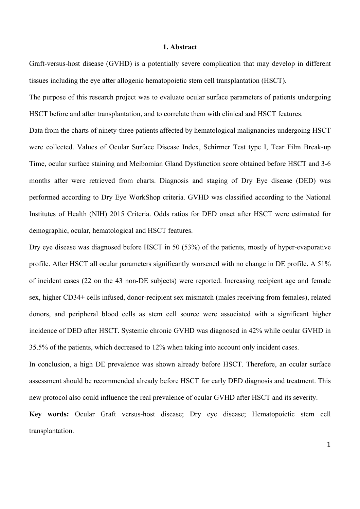#### **1. Abstract**

Graft-versus-host disease (GVHD) is a potentially severe complication that may develop in different tissues including the eye after allogenic hematopoietic stem cell transplantation (HSCT).

The purpose of this research project was to evaluate ocular surface parameters of patients undergoing HSCT before and after transplantation, and to correlate them with clinical and HSCT features.

Data from the charts of ninety-three patients affected by hematological malignancies undergoing HSCT were collected. Values of Ocular Surface Disease Index, Schirmer Test type I, Tear Film Break-up Time, ocular surface staining and Meibomian Gland Dysfunction score obtained before HSCT and 3-6 months after were retrieved from charts. Diagnosis and staging of Dry Eye disease (DED) was performed according to Dry Eye WorkShop criteria. GVHD was classified according to the National Institutes of Health (NIH) 2015 Criteria. Odds ratios for DED onset after HSCT were estimated for demographic, ocular, hematological and HSCT features.

Dry eye disease was diagnosed before HSCT in 50 (53%) of the patients, mostly of hyper-evaporative profile. After HSCT all ocular parameters significantly worsened with no change in DE profile**.** A 51% of incident cases (22 on the 43 non-DE subjects) were reported. Increasing recipient age and female sex, higher CD34+ cells infused, donor-recipient sex mismatch (males receiving from females), related donors, and peripheral blood cells as stem cell source were associated with a significant higher incidence of DED after HSCT. Systemic chronic GVHD was diagnosed in 42% while ocular GVHD in 35.5% of the patients, which decreased to 12% when taking into account only incident cases.

In conclusion, a high DE prevalence was shown already before HSCT. Therefore, an ocular surface assessment should be recommended already before HSCT for early DED diagnosis and treatment. This new protocol also could influence the real prevalence of ocular GVHD after HSCT and its severity.

**Key words:** Ocular Graft versus-host disease; Dry eye disease; Hematopoietic stem cell transplantation.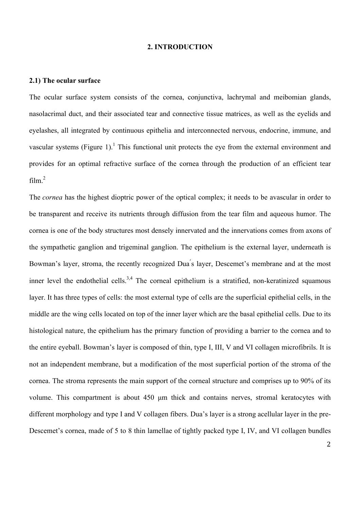#### **2. INTRODUCTION**

#### **2.1) The ocular surface**

The ocular surface system consists of the cornea, conjunctiva, lachrymal and meibomian glands, nasolacrimal duct, and their associated tear and connective tissue matrices, as well as the eyelids and eyelashes, all integrated by continuous epithelia and interconnected nervous, endocrine, immune, and vascular systems (Figure 1).<sup>1</sup> This functional unit protects the eye from the external environment and provides for an optimal refractive surface of the cornea through the production of an efficient tear film. 2

The *cornea* has the highest dioptric power of the optical complex; it needs to be avascular in order to be transparent and receive its nutrients through diffusion from the tear film and aqueous humor. The cornea is one of the body structures most densely innervated and the innervations comes from axons of the sympathetic ganglion and trigeminal ganglion. The epithelium is the external layer, underneath is Bowman's layer, stroma, the recently recognized Dua's layer, Descemet's membrane and at the most inner level the endothelial cells.<sup>3,4</sup> The corneal epithelium is a stratified, non-keratinized squamous layer. It has three types of cells: the most external type of cells are the superficial epithelial cells, in the middle are the wing cells located on top of the inner layer which are the basal epithelial cells. Due to its histological nature, the epithelium has the primary function of providing a barrier to the cornea and to the entire eyeball. Bowman's layer is composed of thin, type I, III, V and VI collagen microfibrils. It is not an independent membrane, but a modification of the most superficial portion of the stroma of the cornea. The stroma represents the main support of the corneal structure and comprises up to 90% of its volume. This compartment is about 450 µm thick and contains nerves, stromal keratocytes with different morphology and type I and V collagen fibers. Dua's layer is a strong acellular layer in the pre-Descemet's cornea, made of 5 to 8 thin lamellae of tightly packed type I, IV, and VI collagen bundles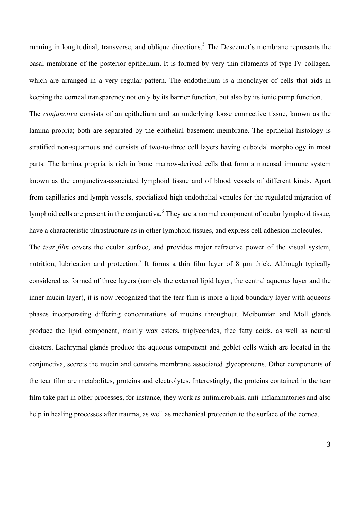running in longitudinal, transverse, and oblique directions. <sup>5</sup> The Descemet's membrane represents the basal membrane of the posterior epithelium. It is formed by very thin filaments of type IV collagen, which are arranged in a very regular pattern. The endothelium is a monolayer of cells that aids in keeping the corneal transparency not only by its barrier function, but also by its ionic pump function.

The *conjunctiva* consists of an epithelium and an underlying loose connective tissue, known as the lamina propria; both are separated by the epithelial basement membrane. The epithelial histology is stratified non-squamous and consists of two-to-three cell layers having cuboidal morphology in most parts. The lamina propria is rich in bone marrow-derived cells that form a mucosal immune system known as the conjunctiva-associated lymphoid tissue and of blood vessels of different kinds. Apart from capillaries and lymph vessels, specialized high endothelial venules for the regulated migration of lymphoid cells are present in the conjunctiva. <sup>6</sup> They are a normal component of ocular lymphoid tissue, have a characteristic ultrastructure as in other lymphoid tissues, and express cell adhesion molecules.

The *tear film* covers the ocular surface, and provides major refractive power of the visual system, nutrition, lubrication and protection.<sup>7</sup> It forms a thin film layer of 8  $\mu$ m thick. Although typically considered as formed of three layers (namely the external lipid layer, the central aqueous layer and the inner mucin layer), it is now recognized that the tear film is more a lipid boundary layer with aqueous phases incorporating differing concentrations of mucins throughout. Meibomian and Moll glands produce the lipid component, mainly wax esters, triglycerides, free fatty acids, as well as neutral diesters. Lachrymal glands produce the aqueous component and goblet cells which are located in the conjunctiva, secrets the mucin and contains membrane associated glycoproteins. Other components of the tear film are metabolites, proteins and electrolytes. Interestingly, the proteins contained in the tear film take part in other processes, for instance, they work as antimicrobials, anti-inflammatories and also help in healing processes after trauma, as well as mechanical protection to the surface of the cornea.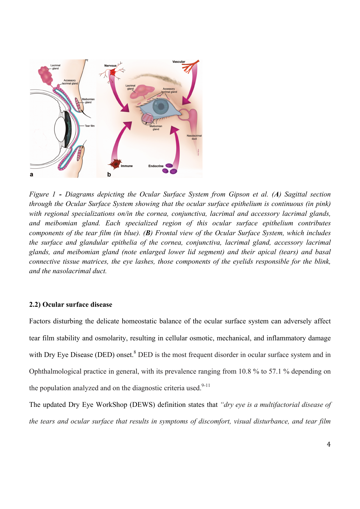

Diagrams depicting the Ocular Surface System. (**A**) Sagittal section through the Ocular Surface Figure 1 - Diagrams depicting the Ocular Surface System from Gipson et al. (A) Sagittal section specializations on/in the cornea, conjunctiva, lacrimal and accessory lacrimal glands, and *through the Ocular Surface System showing that the ocular surface epithelium is continuous (in pink)* with regional specializations on/in the cornea, conjunctiva, lacrimal and accessory lacrimal glands,  $\ldots$  includes the surface and glands of the cornea, conjunction,  $\ldots$ and meibomian gland. Each specialized region of this ocular surface epithelium contributes  $\alpha$  and basil connective time  $\alpha$ components of the tear film (in blue). (B) Frontal view of the Ocular Surface System, which includes be conferenced algoed len entholic of the endows conj the surface and glandular epithelia of the cornea, conjunctiva, lacrimal gland, accessory lacrimal *glands, and meibomian gland (note enlarged lower lid segment) and their apical (tears) and basal connective tissue matrices, the eye lashes, those components of the eyelids responsible for the blink, and the nasolacrimal duct.* 

## **2.2) Ocular surface disease**

with Dry Eye Disease (DED) onset.<sup>8</sup> DED is the most frequent disorder in ocular surface system and in Factors disturbing the delicate homeostatic balance of the ocular surface system can adversely affect tear film stability and osmolarity, resulting in cellular osmotic, mechanical, and inflammatory damage Ophthalmological practice in general, with its prevalence ranging from 10.8 % to 57.1 % depending on the population analyzed and on the diagnostic criteria used.<sup>9-11</sup>

The updated Dry Eye WorkShop (DEWS) definition states that *"dry eye is a multifactorial disease of the tears and ocular surface that results in symptoms of discomfort, visual disturbance, and tear film*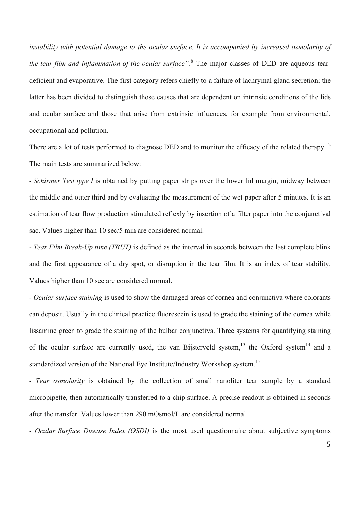*instability with potential damage to the ocular surface. It is accompanied by increased osmolarity of the tear film and inflammation of the ocular surface"*. <sup>8</sup> The major classes of DED are aqueous teardeficient and evaporative. The first category refers chiefly to a failure of lachrymal gland secretion; the latter has been divided to distinguish those causes that are dependent on intrinsic conditions of the lids and ocular surface and those that arise from extrinsic influences, for example from environmental, occupational and pollution.

There are a lot of tests performed to diagnose DED and to monitor the efficacy of the related therapy.<sup>12</sup> The main tests are summarized below:

*- Schirmer Test type I* is obtained by putting paper strips over the lower lid margin, midway between the middle and outer third and by evaluating the measurement of the wet paper after 5 minutes. It is an estimation of tear flow production stimulated reflexly by insertion of a filter paper into the conjunctival sac. Values higher than 10 sec/5 min are considered normal.

*- Tear Film Break-Up time (TBUT)* is defined as the interval in seconds between the last complete blink and the first appearance of a dry spot, or disruption in the tear film. It is an index of tear stability. Values higher than 10 sec are considered normal.

*- Ocular surface staining* is used to show the damaged areas of cornea and conjunctiva where colorants can deposit. Usually in the clinical practice fluorescein is used to grade the staining of the cornea while lissamine green to grade the staining of the bulbar conjunctiva. Three systems for quantifying staining of the ocular surface are currently used, the van Bijsterveld system,<sup>13</sup> the Oxford system<sup>14</sup> and a standardized version of the National Eye Institute/Industry Workshop system.<sup>15</sup>

*- Tear osmolarity* is obtained by the collection of small nanoliter tear sample by a standard micropipette, then automatically transferred to a chip surface. A precise readout is obtained in seconds after the transfer. Values lower than 290 mOsmol/L are considered normal.

- *Ocular Surface Disease Index (OSDI)* is the most used questionnaire about subjective symptoms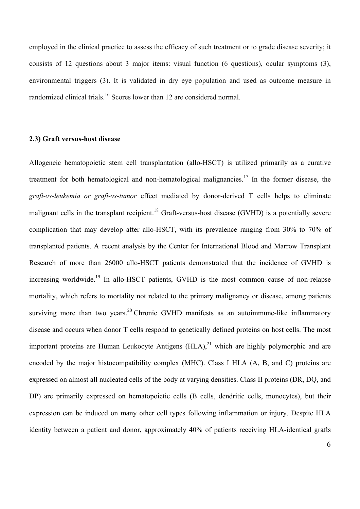employed in the clinical practice to assess the efficacy of such treatment or to grade disease severity; it consists of 12 questions about 3 major items: visual function (6 questions), ocular symptoms (3), environmental triggers (3). It is validated in dry eye population and used as outcome measure in randomized clinical trials.<sup>16</sup> Scores lower than 12 are considered normal.

# **2.3) Graft versus-host disease**

Allogeneic hematopoietic stem cell transplantation (allo-HSCT) is utilized primarily as a curative treatment for both hematological and non-hematological malignancies.<sup>17</sup> In the former disease, the *graft-vs-leukemia or graft-vs-tumor* effect mediated by donor-derived T cells helps to eliminate malignant cells in the transplant recipient.<sup>18</sup> Graft-versus-host disease (GVHD) is a potentially severe complication that may develop after allo-HSCT, with its prevalence ranging from 30% to 70% of transplanted patients. A recent analysis by the Center for International Blood and Marrow Transplant Research of more than 26000 allo-HSCT patients demonstrated that the incidence of GVHD is increasing worldwide.<sup>19</sup> In allo-HSCT patients, GVHD is the most common cause of non-relapse mortality, which refers to mortality not related to the primary malignancy or disease, among patients surviving more than two years.<sup>20</sup> Chronic GVHD manifests as an autoimmune-like inflammatory disease and occurs when donor T cells respond to genetically defined proteins on host cells. The most important proteins are Human Leukocyte Antigens  $(HLA),<sup>21</sup>$  which are highly polymorphic and are encoded by the major histocompatibility complex (MHC). Class I HLA (A, B, and C) proteins are expressed on almost all nucleated cells of the body at varying densities. Class II proteins (DR, DQ, and DP) are primarily expressed on hematopoietic cells (B cells, dendritic cells, monocytes), but their expression can be induced on many other cell types following inflammation or injury. Despite HLA identity between a patient and donor, approximately 40% of patients receiving HLA-identical grafts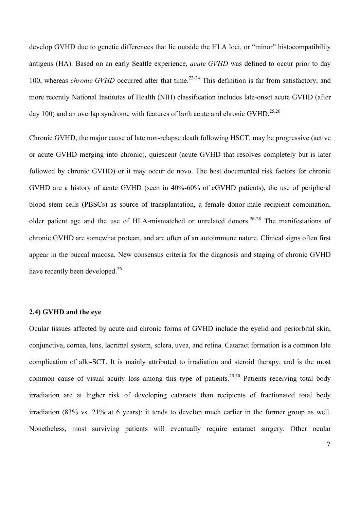develop GVHD due to genetic differences that lie outside the HLA loci, or "minor" histocompatibility antigens (HA). Based on an early Seattle experience, *acute GVHD* was defined to occur prior to day 100, whereas *chronic GVHD* occurred after that time.<sup>22-24</sup> This definition is far from satisfactory, and more recently National Institutes of Health (NIH) classification includes late-onset acute GVHD (after day 100) and an overlap syndrome with features of both acute and chronic GVHD.<sup>25,26</sup>

Chronic GVHD, the major cause of late non-relapse death following HSCT, may be progressive (active or acute GVHD merging into chronic), quiescent (acute GVHD that resolves completely but is later followed by chronic GVHD) or it may occur de novo. The best documented risk factors for chronic GVHD are a history of acute GVHD (seen in 40%-60% of cGVHD patients), the use of peripheral blood stem cells (PBSCs) as source of transplantation, a female donor-male recipient combination, older patient age and the use of HLA-mismatched or unrelated donors.<sup>26-28</sup> The manifestations of chronic GVHD are somewhat protean, and are often of an autoimmune nature. Clinical signs often first appear in the buccal mucosa. New consensus criteria for the diagnosis and staging of chronic GVHD have recently been developed.<sup>26</sup>

### **2.4) GVHD and the eye**

Ocular tissues affected by acute and chronic forms of GVHD include the eyelid and periorbital skin, conjunctiva, cornea, lens, lacrimal system, sclera, uvea, and retina. Cataract formation is a common late complication of allo-SCT. It is mainly attributed to irradiation and steroid therapy, and is the most common cause of visual acuity loss among this type of patients.<sup>29,30</sup> Patients receiving total body irradiation are at higher risk of developing cataracts than recipients of fractionated total body irradiation (83% vs. 21% at 6 years); it tends to develop much earlier in the former group as well. Nonetheless, most surviving patients will eventually require cataract surgery. Other ocular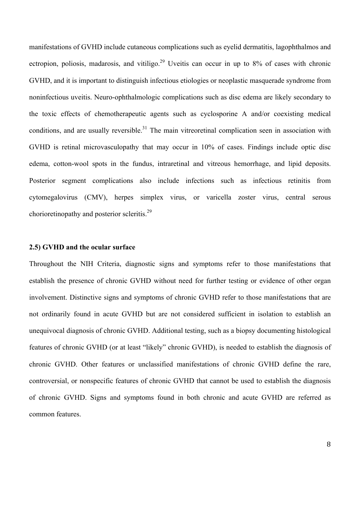manifestations of GVHD include cutaneous complications such as eyelid dermatitis, lagophthalmos and ectropion, poliosis, madarosis, and vitiligo.<sup>29</sup> Uveitis can occur in up to 8% of cases with chronic GVHD, and it is important to distinguish infectious etiologies or neoplastic masquerade syndrome from noninfectious uveitis. Neuro-ophthalmologic complications such as disc edema are likely secondary to the toxic effects of chemotherapeutic agents such as cyclosporine A and/or coexisting medical conditions, and are usually reversible.<sup>31</sup> The main vitreoretinal complication seen in association with GVHD is retinal microvasculopathy that may occur in 10% of cases. Findings include optic disc edema, cotton-wool spots in the fundus, intraretinal and vitreous hemorrhage, and lipid deposits. Posterior segment complications also include infections such as infectious retinitis from cytomegalovirus (CMV), herpes simplex virus, or varicella zoster virus, central serous chorioretinopathy and posterior scleritis.<sup>29</sup>

### **2.5) GVHD and the ocular surface**

Throughout the NIH Criteria, diagnostic signs and symptoms refer to those manifestations that establish the presence of chronic GVHD without need for further testing or evidence of other organ involvement. Distinctive signs and symptoms of chronic GVHD refer to those manifestations that are not ordinarily found in acute GVHD but are not considered sufficient in isolation to establish an unequivocal diagnosis of chronic GVHD. Additional testing, such as a biopsy documenting histological features of chronic GVHD (or at least "likely" chronic GVHD), is needed to establish the diagnosis of chronic GVHD. Other features or unclassified manifestations of chronic GVHD define the rare, controversial, or nonspecific features of chronic GVHD that cannot be used to establish the diagnosis of chronic GVHD. Signs and symptoms found in both chronic and acute GVHD are referred as common features.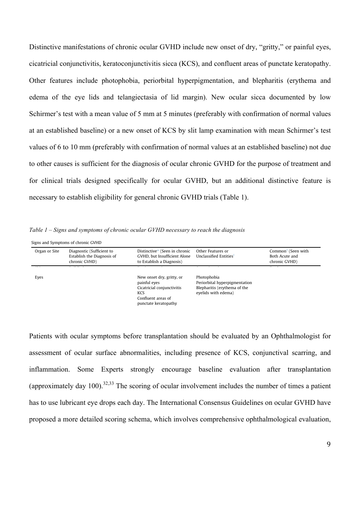Distinctive manifestations of chronic ocular GVHD include new onset of dry, "gritty," or painful eyes, cicatricial conjunctivitis, keratoconjunctivitis sicca (KCS), and confluent areas of punctate keratopathy. Other features include photophobia, periorbital hyperpigmentation, and blepharitis (erythema and edema of the eye lids and telangiectasia of lid margin). New ocular sicca documented by low Schirmer's test with a mean value of 5 mm at 5 minutes (preferably with confirmation of normal values at an established baseline) or a new onset of KCS by slit lamp examination with mean Schirmer's test values of 6 to 10 mm (preferably with confirmation of normal values at an established baseline) not due to other causes is sufficient for the diagnosis of ocular chronic GVHD for the purpose of treatment and for clinical trials designed specifically for ocular GVHD, but an additional distinctive feature is necessary to establish eligibility for general chronic GVHD trials (Table 1). Establish the Diagnosis of s is sufficient for ropic GVHI I vinneer trans acception operationly to Onycholysis

Table 1 – Signs and symptoms of chronic ocular GVHD necessary to reach the diagnosis alar GVHD necess reach the diagnosis

Signs and Symptoms of chronic GVHD

| Organ or Site | Diagnostic (Sufficient to<br>Establish the Diagnosis of<br>chronic GVHD) | Distinctive* (Seen in chronic<br>GVHD, but Insufficient Alone<br>to Establish a Diagnosis)                                   | Other Features or<br>Unclassified Entities <sup>†</sup>                                             | Common <sup>#</sup> (Seen with<br>Both Acute and<br>chronic GVHD) |
|---------------|--------------------------------------------------------------------------|------------------------------------------------------------------------------------------------------------------------------|-----------------------------------------------------------------------------------------------------|-------------------------------------------------------------------|
| Eyes          |                                                                          | New onset dry, gritty, or<br>painful eyes<br>Cicatricial conjunctivitis<br>KCS<br>Confluent areas of<br>punctate keratopathy | Photophobia<br>Periorbital hyperpigmentation<br>Blepharitis (erythema of the<br>eyelids with edema) |                                                                   |

ocular symptoms before transplan New onset of scarring or malities includ from chemoradiotherapy)  $\cos \alpha$  $n$ resence of  $KCS$ or other causes) nammanon, bome Experts strongly encourage baseme evaluation and  $\cdot$  at  $\circ$ лшչ  $\mathbf{E}$  $DCI$ ay. Ine ema which punctate keratopathy is to use lubricant eye drops each day. The International Consensus Guidel Patients with ocular symptoms before transplantation should be evaluated by an Ophthalmologist for f coular quebeco chaquealities including agreement of VCS conjunctive assessment of ocular surface abnormalities, including presence of KCS, conjunctival scarring, and  $\sigma$  to the total to the total term  $\sigma$ inflammation. Some Experts strongly encourage baseline evaluation after transplantation (approximately day 100).<sup>32,33</sup> The scoring of ocular involvement includes the number of times a patient ALT > 2 ! upper limit of  $\overline{a}$ av The Int  $\mathcal{L}$ Consensus Gi has to use lubricant eye drops each day. The International Consensus Guidelines on ocular GVHD have anggad a pop ora d  $\sigma$  country string ama which involves cor proposed a more detailed scoring schema, which involves comprehensive ophthalmological evaluation,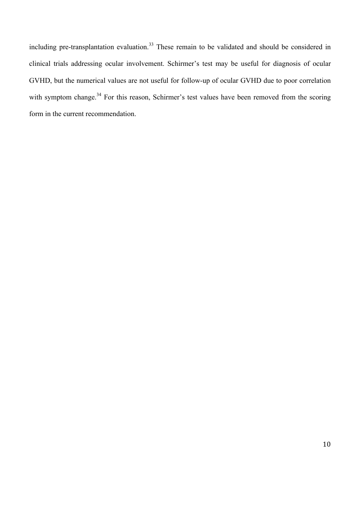including pre-transplantation evaluation.<sup>33</sup> These remain to be validated and should be considered in clinical trials addressing ocular involvement. Schirmer's test may be useful for diagnosis of ocular GVHD, but the numerical values are not useful for follow-up of ocular GVHD due to poor correlation with symptom change.<sup>34</sup> For this reason, Schirmer's test values have been removed from the scoring form in the current recommendation.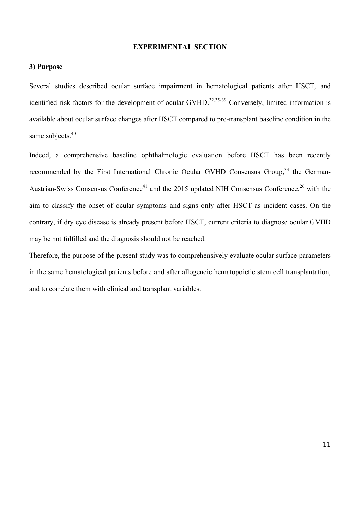## **EXPERIMENTAL SECTION**

### **3) Purpose**

Several studies described ocular surface impairment in hematological patients after HSCT, and identified risk factors for the development of ocular GVHD.<sup>32,35-39</sup> Conversely, limited information is available about ocular surface changes after HSCT compared to pre-transplant baseline condition in the same subjects.<sup>40</sup>

Indeed, a comprehensive baseline ophthalmologic evaluation before HSCT has been recently recommended by the First International Chronic Ocular GVHD Consensus Group,<sup>33</sup> the German-Austrian-Swiss Consensus Conference<sup>41</sup> and the 2015 updated NIH Consensus Conference.<sup>26</sup> with the aim to classify the onset of ocular symptoms and signs only after HSCT as incident cases. On the contrary, if dry eye disease is already present before HSCT, current criteria to diagnose ocular GVHD may be not fulfilled and the diagnosis should not be reached.

Therefore, the purpose of the present study was to comprehensively evaluate ocular surface parameters in the same hematological patients before and after allogeneic hematopoietic stem cell transplantation, and to correlate them with clinical and transplant variables.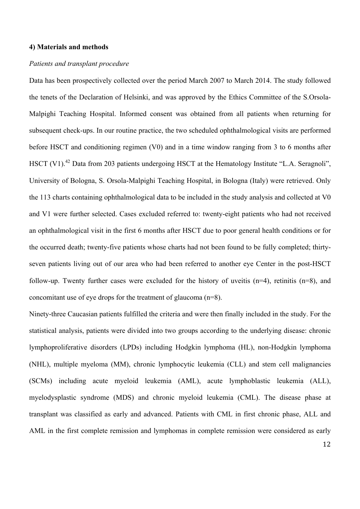## **4) Materials and methods**

## *Patients and transplant procedure*

Data has been prospectively collected over the period March 2007 to March 2014. The study followed the tenets of the Declaration of Helsinki, and was approved by the Ethics Committee of the S.Orsola-Malpighi Teaching Hospital. Informed consent was obtained from all patients when returning for subsequent check-ups. In our routine practice, the two scheduled ophthalmological visits are performed before HSCT and conditioning regimen (V0) and in a time window ranging from 3 to 6 months after HSCT (V1).<sup>42</sup> Data from 203 patients undergoing HSCT at the Hematology Institute "L.A. Seragnoli", University of Bologna, S. Orsola-Malpighi Teaching Hospital, in Bologna (Italy) were retrieved. Only the 113 charts containing ophthalmological data to be included in the study analysis and collected at V0 and V1 were further selected. Cases excluded referred to: twenty-eight patients who had not received an ophthalmological visit in the first 6 months after HSCT due to poor general health conditions or for the occurred death; twenty-five patients whose charts had not been found to be fully completed; thirtyseven patients living out of our area who had been referred to another eye Center in the post-HSCT follow-up. Twenty further cases were excluded for the history of uveitis  $(n=4)$ , retinitis  $(n=8)$ , and concomitant use of eye drops for the treatment of glaucoma (n=8).

Ninety-three Caucasian patients fulfilled the criteria and were then finally included in the study. For the statistical analysis, patients were divided into two groups according to the underlying disease: chronic lymphoproliferative disorders (LPDs) including Hodgkin lymphoma (HL), non-Hodgkin lymphoma (NHL), multiple myeloma (MM), chronic lymphocytic leukemia (CLL) and stem cell malignancies (SCMs) including acute myeloid leukemia (AML), acute lymphoblastic leukemia (ALL), myelodysplastic syndrome (MDS) and chronic myeloid leukemia (CML). The disease phase at transplant was classified as early and advanced. Patients with CML in first chronic phase, ALL and AML in the first complete remission and lymphomas in complete remission were considered as early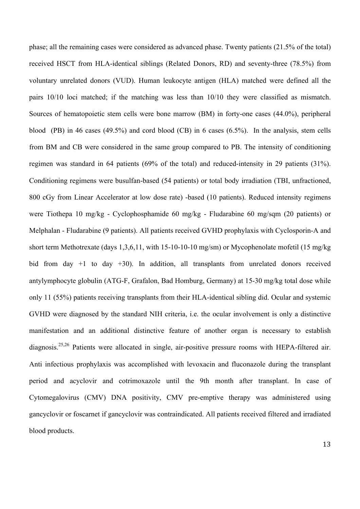phase; all the remaining cases were considered as advanced phase. Twenty patients (21.5% of the total) received HSCT from HLA-identical siblings (Related Donors, RD) and seventy-three (78.5%) from voluntary unrelated donors (VUD). Human leukocyte antigen (HLA) matched were defined all the pairs 10/10 loci matched; if the matching was less than 10/10 they were classified as mismatch. Sources of hematopoietic stem cells were bone marrow (BM) in forty-one cases (44.0%), peripheral blood (PB) in 46 cases (49.5%) and cord blood (CB) in 6 cases (6.5%). In the analysis, stem cells from BM and CB were considered in the same group compared to PB. The intensity of conditioning regimen was standard in 64 patients (69% of the total) and reduced-intensity in 29 patients (31%). Conditioning regimens were busulfan-based (54 patients) or total body irradiation (TBI, unfractioned, 800 cGy from Linear Accelerator at low dose rate) -based (10 patients). Reduced intensity regimens were Tiothepa 10 mg/kg - Cyclophosphamide 60 mg/kg - Fludarabine 60 mg/sqm (20 patients) or Melphalan - Fludarabine (9 patients). All patients received GVHD prophylaxis with Cyclosporin-A and short term Methotrexate (days 1,3,6,11, with 15-10-10-10 mg/sm) or Mycophenolate mofetil (15 mg/kg bid from day +1 to day +30). In addition, all transplants from unrelated donors received antylymphocyte globulin (ATG-F, Grafalon, Bad Homburg, Germany) at 15-30 mg/kg total dose while only 11 (55%) patients receiving transplants from their HLA-identical sibling did. Ocular and systemic GVHD were diagnosed by the standard NIH criteria, i.e. the ocular involvement is only a distinctive manifestation and an additional distinctive feature of another organ is necessary to establish diagnosis.25,26 Patients were allocated in single, air-positive pressure rooms with HEPA-filtered air. Anti infectious prophylaxis was accomplished with levoxacin and fluconazole during the transplant period and acyclovir and cotrimoxazole until the 9th month after transplant. In case of Cytomegalovirus (CMV) DNA positivity, CMV pre-emptive therapy was administered using gancyclovir or foscarnet if gancyclovir was contraindicated. All patients received filtered and irradiated blood products.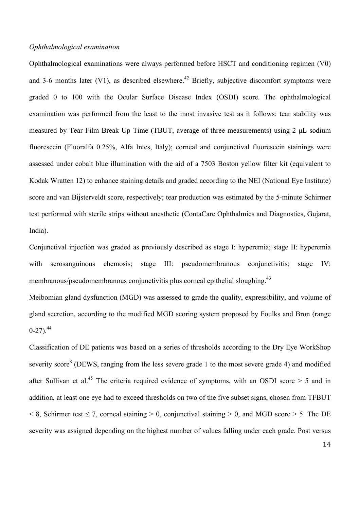### *Ophthalmological examination*

Ophthalmological examinations were always performed before HSCT and conditioning regimen (V0) and 3-6 months later (V1), as described elsewhere.<sup>42</sup> Briefly, subjective discomfort symptoms were graded 0 to 100 with the Ocular Surface Disease Index (OSDI) score. The ophthalmological examination was performed from the least to the most invasive test as it follows: tear stability was measured by Tear Film Break Up Time (TBUT, average of three measurements) using 2 µL sodium fluorescein (Fluoralfa 0.25%, Alfa Intes, Italy); corneal and conjunctival fluorescein stainings were assessed under cobalt blue illumination with the aid of a 7503 Boston yellow filter kit (equivalent to Kodak Wratten 12) to enhance staining details and graded according to the NEI (National Eye Institute) score and van Bijsterveldt score, respectively; tear production was estimated by the 5-minute Schirmer test performed with sterile strips without anesthetic (ContaCare Ophthalmics and Diagnostics, Gujarat, India).

Conjunctival injection was graded as previously described as stage I: hyperemia; stage II: hyperemia with serosanguinous chemosis; stage III: pseudomembranous conjunctivitis; stage IV: membranous/pseudomembranous conjunctivitis plus corneal epithelial sloughing.<sup>43</sup>

Meibomian gland dysfunction (MGD) was assessed to grade the quality, expressibility, and volume of gland secretion, according to the modified MGD scoring system proposed by Foulks and Bron (range  $0-27$ )<sup>44</sup>

Classification of DE patients was based on a series of thresholds according to the Dry Eye WorkShop severity score<sup>8</sup> (DEWS, ranging from the less severe grade 1 to the most severe grade 4) and modified after Sullivan et al.<sup>45</sup> The criteria required evidence of symptoms, with an OSDI score  $> 5$  and in addition, at least one eye had to exceed thresholds on two of the five subset signs, chosen from TFBUT  $\leq$  8, Schirmer test  $\leq$  7, corneal staining  $\geq$  0, conjunctival staining  $\geq$  0, and MGD score  $\geq$  5. The DE severity was assigned depending on the highest number of values falling under each grade. Post versus

14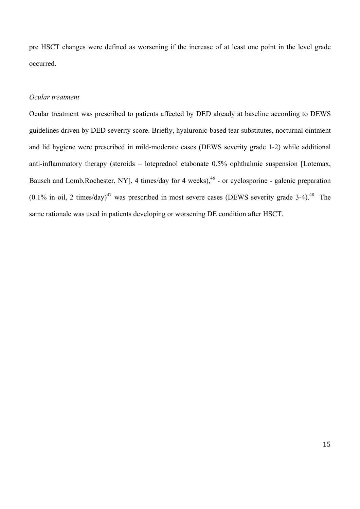pre HSCT changes were defined as worsening if the increase of at least one point in the level grade occurred.

# *Ocular treatment*

Ocular treatment was prescribed to patients affected by DED already at baseline according to DEWS guidelines driven by DED severity score. Briefly, hyaluronic-based tear substitutes, nocturnal ointment and lid hygiene were prescribed in mild-moderate cases (DEWS severity grade 1-2) while additional anti-inflammatory therapy (steroids – loteprednol etabonate 0.5% ophthalmic suspension [Lotemax, Bausch and Lomb,Rochester, NY], 4 times/day for 4 weeks),<sup>46</sup> - or cyclosporine - galenic preparation  $(0.1\%$  in oil, 2 times/day)<sup>47</sup> was prescribed in most severe cases (DEWS severity grade 3-4).<sup>48</sup> The same rationale was used in patients developing or worsening DE condition after HSCT.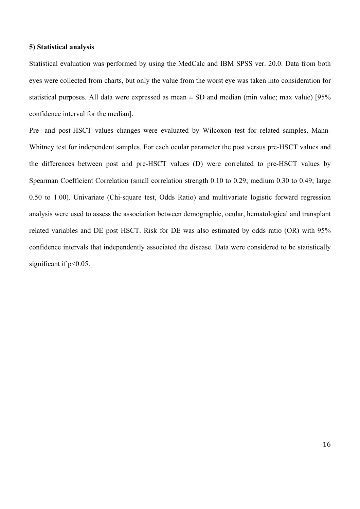#### **5) Statistical analysis**

Statistical evaluation was performed by using the MedCalc and IBM SPSS ver. 20.0. Data from both eyes were collected from charts, but only the value from the worst eye was taken into consideration for statistical purposes. All data were expressed as mean  $\pm$  SD and median (min value; max value) [95% confidence interval for the median].

Pre- and post-HSCT values changes were evaluated by Wilcoxon test for related samples, Mann-Whitney test for independent samples. For each ocular parameter the post versus pre-HSCT values and the differences between post and pre-HSCT values (D) were correlated to pre-HSCT values by Spearman Coefficient Correlation (small correlation strength 0.10 to 0.29; medium 0.30 to 0.49; large 0.50 to 1.00). Univariate (Chi-square test, Odds Ratio) and multivariate logistic forward regression analysis were used to assess the association between demographic, ocular, hematological and transplant related variables and DE post HSCT. Risk for DE was also estimated by odds ratio (OR) with 95% confidence intervals that independently associated the disease. Data were considered to be statistically significant if  $p<0.05$ .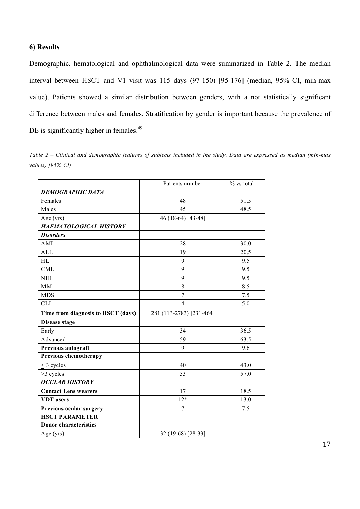# **6) Results**

Demographic, hematological and ophthalmological data were summarized in Table 2. The median interval between HSCT and V1 visit was 115 days (97-150) [95-176] (median, 95% CI, min-max value). Patients showed a similar distribution between genders, with a not statistically significant difference between males and females. Stratification by gender is important because the prevalence of DE is significantly higher in females.<sup>49</sup>

*Table 2 – Clinical and demographic features of subjects included in the study. Data are expressed as median (min-max values) [95% CI].*

|                                    | Patients number          | % vs total |
|------------------------------------|--------------------------|------------|
| <b>DEMOGRAPHIC DATA</b>            |                          |            |
| Females                            | 48                       | 51.5       |
| Males                              | 45                       | 48.5       |
| Age (yrs)                          | 46 (18-64) [43-48]       |            |
| <b>HAEMATOLOGICAL HISTORY</b>      |                          |            |
| <b>Disorders</b>                   |                          |            |
| <b>AML</b>                         | 28                       | 30.0       |
| <b>ALL</b>                         | 19                       | 20.5       |
| HL                                 | 9                        | 9.5        |
| <b>CML</b>                         | 9                        | 9.5        |
| <b>NHL</b>                         | 9                        | 9.5        |
| <b>MM</b>                          | 8                        | 8.5        |
| <b>MDS</b>                         | 7                        | 7.5        |
| <b>CLL</b>                         | $\overline{4}$           | 5.0        |
| Time from diagnosis to HSCT (days) | 281 (113-2783) [231-464] |            |
| <b>Disease stage</b>               |                          |            |
| Early                              | 34                       | 36.5       |
| Advanced                           | 59                       | 63.5       |
| Previous autograft                 | 9                        | 9.6        |
| Previous chemotherapy              |                          |            |
| $<$ 3 cycles                       | 40                       | 43.0       |
| $>3$ cycles                        | 53                       | 57.0       |
| <b>OCULAR HISTORY</b>              |                          |            |
| <b>Contact Lens wearers</b>        | 17                       | 18.5       |
| <b>VDT</b> users                   | $12*$                    | 13.0       |
| Previous ocular surgery            | 7                        | 7.5        |
| <b>HSCT PARAMETER</b>              |                          |            |
| <b>Donor characteristics</b>       |                          |            |
| Age (yrs)                          | 32 (19-68) [28-33]       |            |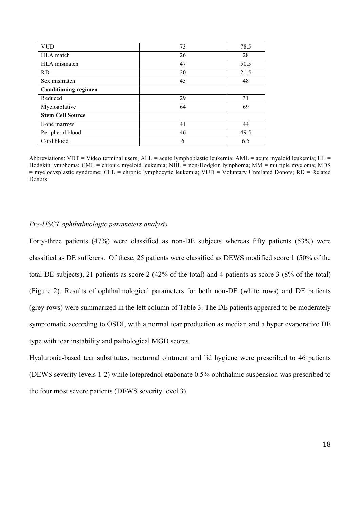| <b>VUD</b>                  | 73 | 78.5 |
|-----------------------------|----|------|
| HLA match                   | 26 | 28   |
| HLA mismatch                | 47 | 50.5 |
| <b>RD</b>                   | 20 | 21.5 |
| Sex mismatch                | 45 | 48   |
| <b>Conditioning regimen</b> |    |      |
| Reduced                     | 29 | 31   |
| Myeloablative               | 64 | 69   |
| <b>Stem Cell Source</b>     |    |      |
| Bone marrow                 | 41 | 44   |
| Peripheral blood            | 46 | 49.5 |
| Cord blood                  | 6  | 6.5  |

Abbreviations: VDT = Video terminal users;  $ALL$  = acute lymphoblastic leukemia;  $AML$  = acute myeloid leukemia;  $HL$  = Hodgkin lymphoma; CML = chronic myeloid leukemia; NHL = non-Hodgkin lymphoma; MM = multiple myeloma; MDS = myelodysplastic syndrome; CLL = chronic lymphocytic leukemia; VUD = Voluntary Unrelated Donors; RD = Related **Donors** 

## *Pre-HSCT ophthalmologic parameters analysis*

Forty-three patients (47%) were classified as non-DE subjects whereas fifty patients (53%) were classified as DE sufferers. Of these, 25 patients were classified as DEWS modified score 1 (50% of the total DE-subjects), 21 patients as score 2 (42% of the total) and 4 patients as score 3 (8% of the total) (Figure 2). Results of ophthalmological parameters for both non-DE (white rows) and DE patients (grey rows) were summarized in the left column of Table 3. The DE patients appeared to be moderately symptomatic according to OSDI, with a normal tear production as median and a hyper evaporative DE type with tear instability and pathological MGD scores.

Hyaluronic-based tear substitutes, nocturnal ointment and lid hygiene were prescribed to 46 patients (DEWS severity levels 1-2) while loteprednol etabonate 0.5% ophthalmic suspension was prescribed to the four most severe patients (DEWS severity level 3).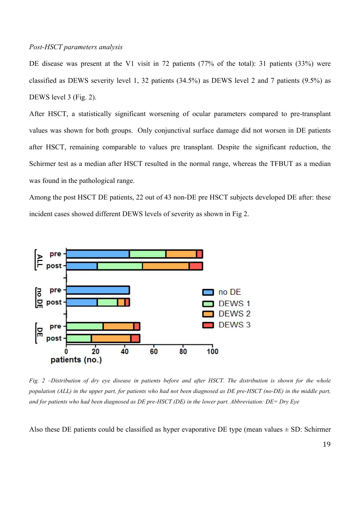#### *Post-HSCT parameters analysis*

DE disease was present at the V1 visit in 72 patients (77% of the total): 31 patients (33%) were classified as DEWS severity level 1, 32 patients (34.5%) as DEWS level 2 and 7 patients (9.5%) as DEWS level 3 (Fig. 2).

After HSCT, a statistically significant worsening of ocular parameters compared to pre-transplant values was shown for both groups. Only conjunctival surface damage did not worsen in DE patients after HSCT, remaining comparable to values pre transplant. Despite the significant reduction, the Schirmer test as a median after HSCT resulted in the normal range, whereas the TFBUT as a median was found in the pathological range.

Among the post HSCT DE patients, 22 out of 43 non-DE pre HSCT subjects developed DE after: these incident cases showed different DEWS levels of severity as shown in Fig 2.



*Fig. 2 –Distribution of dry eye disease in patients before and after HSCT. The distribution is shown for the whole population (ALL) in the upper part, for patients who had not been diagnosed as DE pre-HSCT (no-DE) in the middle part, and for patients who had been diagnosed as DE pre-HSCT (DE) in the lower part. Abbreviation: DE= Dry Eye*

Also these DE patients could be classified as hyper evaporative DE type (mean values  $\pm$  SD: Schirmer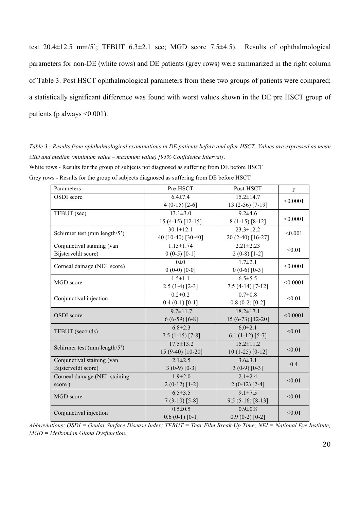test 20.4±12.5 mm/5'; TFBUT 6.3±2.1 sec; MGD score 7.5±4.5). Results of ophthalmological parameters for non-DE (white rows) and DE patients (grey rows) were summarized in the right column of Table 3. Post HSCT ophthalmological parameters from these two groups of patients were compared; a statistically significant difference was found with worst values shown in the DE pre HSCT group of patients (p always  $\leq 0.001$ ).

*Table 3 - Results from ophthalmological examinations in DE patients before and after HSCT. Values are expressed as mean ±SD and median (minimum value – maximum value) [95% Confidence Interval].* White rows - Results for the group of subjects not diagnosed as suffering from DE before HSCT Grey rows - Results for the group of subjects diagnosed as suffering from DE before HSCT

| Parameters                   | Pre-HSCT           | Post-HSCT         | p        |  |
|------------------------------|--------------------|-------------------|----------|--|
| OSDI score                   | $6.4 \pm 7.4$      | $15.2 \pm 14.7$   |          |  |
|                              | $4(0-15)$ [2-6]    | $13(2-56)$ [7-19] | < 0.0001 |  |
| TFBUT (sec)                  | $13.1 \pm 3.0$     | $9.2 \pm 4.6$     |          |  |
|                              | $15(4-15)$ [12-15] | $8(1-15)$ [8-12]  | < 0.0001 |  |
|                              | $30.1 \pm 12.1$    | $23.3 \pm 12.2$   | < 0.001  |  |
| Schirmer test (mm length/5') | 40 (10-40) [30-40] | 20 (2-40) [16-27] |          |  |
| Conjunctival staining (van   | $1.15 \pm 1.74$    | $2.21 \pm 2.23$   |          |  |
| Bijsterveldt score)          | $0(0-5)$ [0-1]     | $2(0-8)$ [1-2]    | < 0.01   |  |
|                              | $0\pm 0$           | $1.7 \pm 2.1$     |          |  |
| Corneal damage (NEI score)   | $0(0-0)$ [0-0]     | $0(0-6)$ [0-3]    | < 0.0001 |  |
|                              | $1.5 \pm 1.1$      | $6.5 \pm 5.5$     |          |  |
| MGD score                    | $2.5(1-4)[2-3]$    | $7.5(4-14)[7-12]$ | < 0.0001 |  |
|                              | $0.2 \pm 0.2$      | $0.7 \pm 0.8$     | < 0.01   |  |
| Conjunctival injection       | $0.4(0-1)[0-1]$    | $0.8(0-2)[0-2]$   |          |  |
| OSDI score                   | $9.7 \pm 11.7$     | $18.2 \pm 17.1$   | < 0.0001 |  |
|                              | $6(6-59) [6-8]$    | 15 (6-73) [12-20] |          |  |
| TFBUT (seconds)              | $6.8 \pm 2.3$      | $6.0 \pm 2.1$     |          |  |
|                              | $7.5(1-15)[7-8]$   | $6.1(1-12)[5-7]$  | < 0.01   |  |
| Schirmer test (mm length/5') | $17.5 \pm 13.2$    | $15.2 \pm 11.2$   |          |  |
|                              | 15 (9-40) [10-20]  | $10(1-25)$ [0-12] | < 0.01   |  |
| Conjunctival staining (van   | $2.1 \pm 2.5$      | $3.6 \pm 3.1$     |          |  |
| Bijsterveldt score)          | $3(0-9)[0-3]$      | $3(0-9)[0-3]$     | 0.4      |  |
| Corneal damage (NEI staining | $1.9 \pm 2.0$      | $2.1 \pm 2.4$     | < 0.01   |  |
| score)                       | $2(0-12)$ [1-2]    | $2(0-12)$ [2-4]   |          |  |
| MGD score                    | $6.5 \pm 3.5$      | $9.1 \pm 7.5$     | < 0.01   |  |
|                              | $7(3-10)$ [5-8]    | $9.5(5-16)[8-13]$ |          |  |
| Conjunctival injection       | $0.5 \pm 0.5$      | $0.9 \pm 0.8$     | < 0.01   |  |
|                              | $0.6(0-1)[0-1]$    | $0.9(0-2)[0-2]$   |          |  |

*Abbreviations: OSDI = Ocular Surface Disease Index; TFBUT = Tear Film Break-Up Time; NEI = National Eye Institute; MGD = Meibomian Gland Dysfunction.*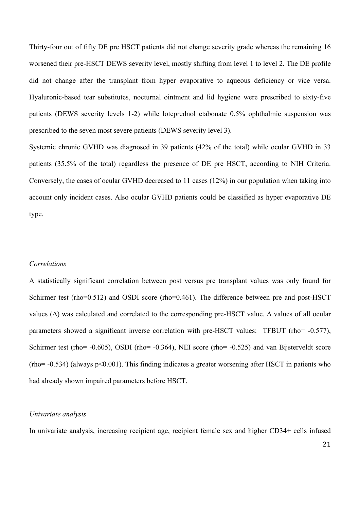Thirty-four out of fifty DE pre HSCT patients did not change severity grade whereas the remaining 16 worsened their pre-HSCT DEWS severity level, mostly shifting from level 1 to level 2. The DE profile did not change after the transplant from hyper evaporative to aqueous deficiency or vice versa. Hyaluronic-based tear substitutes, nocturnal ointment and lid hygiene were prescribed to sixty-five patients (DEWS severity levels 1-2) while loteprednol etabonate 0.5% ophthalmic suspension was prescribed to the seven most severe patients (DEWS severity level 3).

Systemic chronic GVHD was diagnosed in 39 patients (42% of the total) while ocular GVHD in 33 patients (35.5% of the total) regardless the presence of DE pre HSCT, according to NIH Criteria. Conversely, the cases of ocular GVHD decreased to 11 cases (12%) in our population when taking into account only incident cases. Also ocular GVHD patients could be classified as hyper evaporative DE type.

#### *Correlations*

A statistically significant correlation between post versus pre transplant values was only found for Schirmer test (rho=0.512) and OSDI score (rho=0.461). The difference between pre and post-HSCT values ( $\Delta$ ) was calculated and correlated to the corresponding pre-HSCT value.  $\Delta$  values of all ocular parameters showed a significant inverse correlation with pre-HSCT values: TFBUT (rho= -0.577), Schirmer test (rho= -0.605), OSDI (rho= -0.364), NEI score (rho= -0.525) and van Bijsterveldt score  $(rho = -0.534)$  (always  $p \le 0.001$ ). This finding indicates a greater worsening after HSCT in patients who had already shown impaired parameters before HSCT.

## *Univariate analysis*

In univariate analysis, increasing recipient age, recipient female sex and higher CD34+ cells infused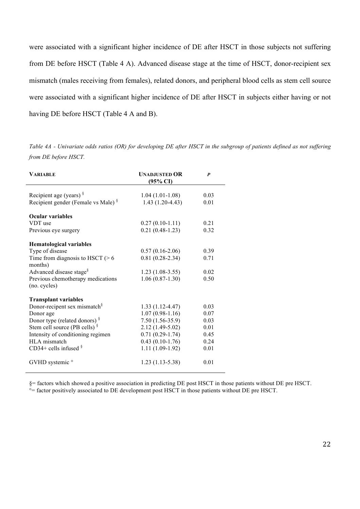were associated with a significant higher incidence of DE after HSCT in those subjects not suffering from DE before HSCT (Table 4 A). Advanced disease stage at the time of HSCT, donor-recipient sex mismatch (males receiving from females), related donors, and peripheral blood cells as stem cell source were associated with a significant higher incidence of DE after HSCT in subjects either having or not having DE before HSCT (Table 4 A and B).

*Table 4A - Univariate odds ratios (OR) for developing DE after HSCT in the subgroup of patients defined as not suffering from DE before HSCT.*

| <b>VARIABLE</b>                                   | <b>UNADJUSTED OR</b><br>$(95\% \text{ CI})$ | $\boldsymbol{p}$ |
|---------------------------------------------------|---------------------------------------------|------------------|
| Recipient age (years) $\frac{8}{3}$               | $1.04(1.01-1.08)$                           | 0.03             |
| Recipient gender (Female vs Male) <sup>§</sup>    | $1.43(1.20-4.43)$                           | 0.01             |
| <b>Ocular variables</b>                           |                                             |                  |
| VDT use                                           | $0.27(0.10-1.11)$                           | 0.21             |
| Previous eye surgery                              | $0.21(0.48-1.23)$                           | 0.32             |
| <b>Hematological variables</b>                    |                                             |                  |
| Type of disease                                   | $0.57(0.16-2.06)$                           | 0.39             |
| Time from diagnosis to HSCT $(> 6$<br>months)     | $0.81(0.28-2.34)$                           | 0.71             |
| Advanced disease stage <sup>§</sup>               | $1.23(1.08-3.55)$                           | 0.02             |
| Previous chemotherapy medications<br>(no. cycles) | $1.06(0.87-1.30)$                           | 0.50             |
| <b>Transplant variables</b>                       |                                             |                  |
| Donor-recipent sex mismatch <sup>§</sup>          | $1.33(1.12-4.47)$                           | 0.03             |
| Donor age                                         | $1.07(0.98-1.16)$                           | 0.07             |
| Donor type (related donors) $\frac{8}{3}$         | $7.50(1.56-35.9)$                           | 0.03             |
| Stem cell source (PB cells) <sup>§</sup>          | $2.12(1.49-5.02)$                           | 0.01             |
| Intensity of conditioning regimen                 | $0.71(0.29-1.74)$                           | 0.45             |
| HLA mismatch                                      | $0.43(0.10-1.76)$                           | 0.24             |
| CD34+ cells infused $§$                           | $1.11(1.09-1.92)$                           | 0.01             |
| GVHD systemic <sup>o</sup>                        | $1.23(1.13-5.38)$                           | 0.01             |

§= factors which showed a positive association in predicting DE post HSCT in those patients without DE pre HSCT.

°= factor positively associated to DE development post HSCT in those patients without DE pre HSCT.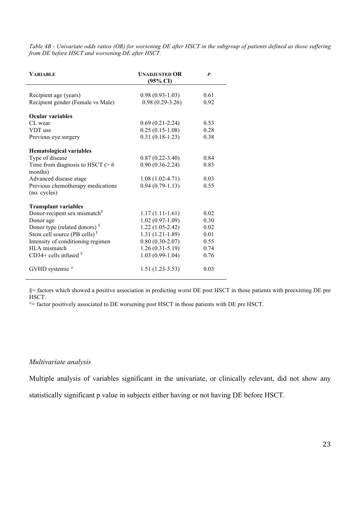*Table 4B - Univariate odds ratios (OR) for worsening DE after HSCT in the subgroup of patients defined as those suffering from DE before HSCT and worsening DE after HSCT.*

| <b>VARIABLE</b>                                   | <b>UNADJUSTED OR</b><br>$(95\% \text{ CI})$ | P    |
|---------------------------------------------------|---------------------------------------------|------|
| Recipient age (years)                             | $0.98(0.93-1.03)$                           | 0.61 |
| Recipient gender (Female vs Male)                 | $0.98(0.29-3.26)$                           | 0.92 |
| <b>Ocular variables</b>                           |                                             |      |
| CL wear                                           | $0.69(0.21-2.24)$                           | 0.53 |
| VDT use                                           | $0.25(0.15-1.08)$                           | 0.28 |
| Previous eye surgery                              | $0.31(0.18-1.23)$                           | 0.38 |
| <b>Hematological variables</b>                    |                                             |      |
| Type of disease                                   | $0.87(0.22 - 3.40)$                         | 0.84 |
| Time from diagnosis to HSCT $(> 6$<br>months)     | $0.90(0.36-2.24)$                           | 0.83 |
| Advanced disease stage                            | $1.08(1.02-4.71)$                           | 0.03 |
| Previous chemotherapy medications<br>(no. cycles) | $0.94(0.79-1.13)$                           | 0.55 |
| <b>Transplant variables</b>                       |                                             |      |
| Donor-recipent sex mismatch <sup>§</sup>          | $1.17(1.11-1.61)$                           | 0.02 |
| Donor age                                         | $1.02(0.97-1.09)$                           | 0.30 |
| Donor type (related donors) $\frac{8}{3}$         | $1.22(1.05-2.42)$                           | 0.02 |
| Stem cell source (PB cells) $\frac{8}{3}$         | $1.31(1.21-1.89)$                           | 0.01 |
| Intensity of conditioning regimen                 | $0.80(0.30-2.07)$                           | 0.55 |
| HLA mismatch                                      | $1.26(0.31-5.19)$                           | 0.74 |
| CD34+ cells infused $§$                           | $1.03(0.99-1.04)$                           | 0.76 |
| GVHD systemic <sup>o</sup>                        | $1.51(1.23-3.53)$                           | 0.03 |

§= factors which showed a positive association in predicting worst DE post HSCT in those patients with preexisting DE pre HSCT.

°= factor positively associated to DE worsening post HSCT in those patients with DE pre HSCT.

## *Multivariate analysis*

Multiple analysis of variables significant in the univariate, or clinically relevant, did not show any

statistically significant p value in subjects either having or not having DE before HSCT.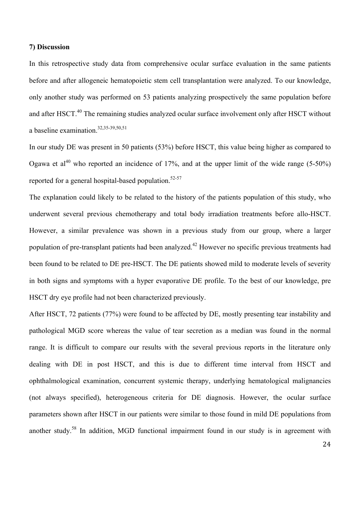#### **7) Discussion**

In this retrospective study data from comprehensive ocular surface evaluation in the same patients before and after allogeneic hematopoietic stem cell transplantation were analyzed. To our knowledge, only another study was performed on 53 patients analyzing prospectively the same population before and after HSCT.<sup>40</sup> The remaining studies analyzed ocular surface involvement only after HSCT without a baseline examination. 32,35-39,50,51

In our study DE was present in 50 patients (53%) before HSCT, this value being higher as compared to Ogawa et al<sup>40</sup> who reported an incidence of 17%, and at the upper limit of the wide range (5-50%) reported for a general hospital-based population.<sup>52-57</sup>

The explanation could likely to be related to the history of the patients population of this study, who underwent several previous chemotherapy and total body irradiation treatments before allo-HSCT. However, a similar prevalence was shown in a previous study from our group, where a larger population of pre-transplant patients had been analyzed.<sup>42</sup> However no specific previous treatments had been found to be related to DE pre-HSCT. The DE patients showed mild to moderate levels of severity in both signs and symptoms with a hyper evaporative DE profile. To the best of our knowledge, pre HSCT dry eye profile had not been characterized previously.

After HSCT, 72 patients (77%) were found to be affected by DE, mostly presenting tear instability and pathological MGD score whereas the value of tear secretion as a median was found in the normal range. It is difficult to compare our results with the several previous reports in the literature only dealing with DE in post HSCT, and this is due to different time interval from HSCT and ophthalmological examination, concurrent systemic therapy, underlying hematological malignancies (not always specified), heterogeneous criteria for DE diagnosis. However, the ocular surface parameters shown after HSCT in our patients were similar to those found in mild DE populations from another study.<sup>58</sup> In addition, MGD functional impairment found in our study is in agreement with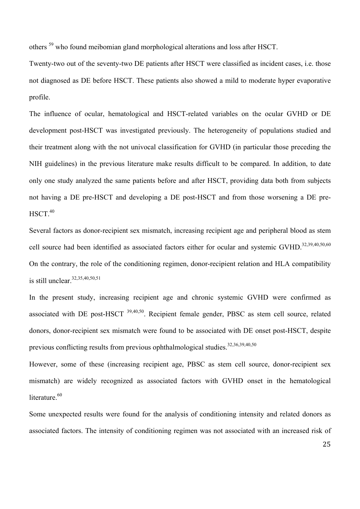others <sup>59</sup> who found meibomian gland morphological alterations and loss after HSCT.

Twenty-two out of the seventy-two DE patients after HSCT were classified as incident cases, i.e. those not diagnosed as DE before HSCT. These patients also showed a mild to moderate hyper evaporative profile.

The influence of ocular, hematological and HSCT-related variables on the ocular GVHD or DE development post-HSCT was investigated previously. The heterogeneity of populations studied and their treatment along with the not univocal classification for GVHD (in particular those preceding the NIH guidelines) in the previous literature make results difficult to be compared. In addition, to date only one study analyzed the same patients before and after HSCT, providing data both from subjects not having a DE pre-HSCT and developing a DE post-HSCT and from those worsening a DE pre- $HSCT.<sup>40</sup>$ 

Several factors as donor-recipient sex mismatch, increasing recipient age and peripheral blood as stem cell source had been identified as associated factors either for ocular and systemic GVHD.<sup>32,39,40,50,60</sup> On the contrary, the role of the conditioning regimen, donor-recipient relation and HLA compatibility is still unclear.32,35,40,50,51

In the present study, increasing recipient age and chronic systemic GVHD were confirmed as associated with DE post-HSCT 39,40,50. Recipient female gender, PBSC as stem cell source, related donors, donor-recipient sex mismatch were found to be associated with DE onset post-HSCT, despite previous conflicting results from previous ophthalmological studies.<sup>32,36,39,40,50</sup>

However, some of these (increasing recipient age, PBSC as stem cell source, donor-recipient sex mismatch) are widely recognized as associated factors with GVHD onset in the hematological literature.<sup>60</sup>

Some unexpected results were found for the analysis of conditioning intensity and related donors as associated factors. The intensity of conditioning regimen was not associated with an increased risk of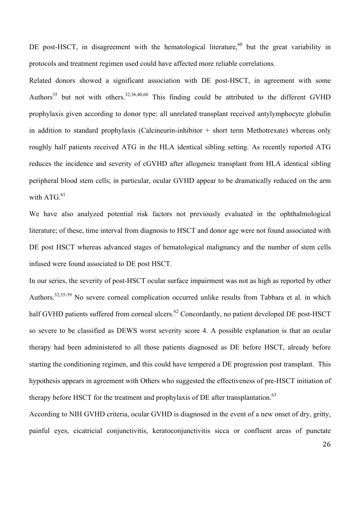DE post-HSCT, in disagreement with the hematological literature,<sup>60</sup> but the great variability in protocols and treatment regimen used could have affected more reliable correlations.

Related donors showed a significant association with DE post-HSCT, in agreement with some Authors<sup>35</sup> but not with others.<sup>32,36,40,60</sup> This finding could be attributed to the different GVHD prophylaxis given according to donor type: all unrelated transplant received antylymphocyte globulin in addition to standard prophylaxis (Calcineurin-inhibitor + short term Methotrexate) whereas only roughly half patients received ATG in the HLA identical sibling setting. As recently reported ATG reduces the incidence and severity of cGVHD after allogeneic transplant from HLA identical sibling peripheral blood stem cells; in particular, ocular GVHD appear to be dramatically reduced on the arm with  $ATG<sup>61</sup>$ 

We have also analyzed potential risk factors not previously evaluated in the ophthalmological literature; of these, time interval from diagnosis to HSCT and donor age were not found associated with DE post HSCT whereas advanced stages of hematological malignancy and the number of stem cells infused were found associated to DE post HSCT.

In our series, the severity of post-HSCT ocular surface impairment was not as high as reported by other Authors.<sup>32,35-39</sup> No severe corneal complication occurred unlike results from Tabbara et al. in which half GVHD patients suffered from corneal ulcers.<sup>62</sup> Concordantly, no patient developed DE post-HSCT so severe to be classified as DEWS worst severity score 4. A possible explanation is that an ocular therapy had been administered to all those patients diagnosed as DE before HSCT, already before starting the conditioning regimen, and this could have tempered a DE progression post transplant. This hypothesis appears in agreement with Others who suggested the effectiveness of pre-HSCT initiation of therapy before HSCT for the treatment and prophylaxis of DE after transplantation.<sup>63</sup>

According to NIH GVHD criteria, ocular GVHD is diagnosed in the event of a new onset of dry, gritty, painful eyes, cicatricial conjunctivitis, keratoconjunctivitis sicca or confluent areas of punctate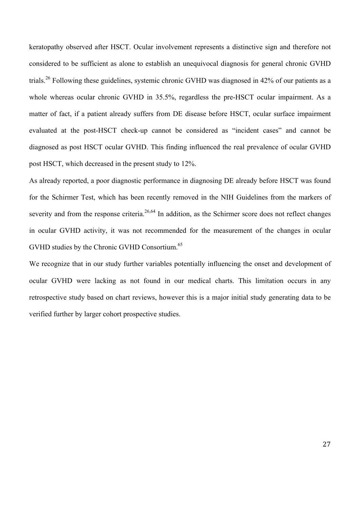keratopathy observed after HSCT. Ocular involvement represents a distinctive sign and therefore not considered to be sufficient as alone to establish an unequivocal diagnosis for general chronic GVHD trials.<sup>26</sup> Following these guidelines, systemic chronic GVHD was diagnosed in 42% of our patients as a whole whereas ocular chronic GVHD in 35.5%, regardless the pre-HSCT ocular impairment. As a matter of fact, if a patient already suffers from DE disease before HSCT, ocular surface impairment evaluated at the post-HSCT check-up cannot be considered as "incident cases" and cannot be diagnosed as post HSCT ocular GVHD. This finding influenced the real prevalence of ocular GVHD post HSCT, which decreased in the present study to 12%.

As already reported, a poor diagnostic performance in diagnosing DE already before HSCT was found for the Schirmer Test, which has been recently removed in the NIH Guidelines from the markers of severity and from the response criteria.<sup>26,64</sup> In addition, as the Schirmer score does not reflect changes in ocular GVHD activity, it was not recommended for the measurement of the changes in ocular GVHD studies by the Chronic GVHD Consortium.<sup>65</sup>

We recognize that in our study further variables potentially influencing the onset and development of ocular GVHD were lacking as not found in our medical charts. This limitation occurs in any retrospective study based on chart reviews, however this is a major initial study generating data to be verified further by larger cohort prospective studies.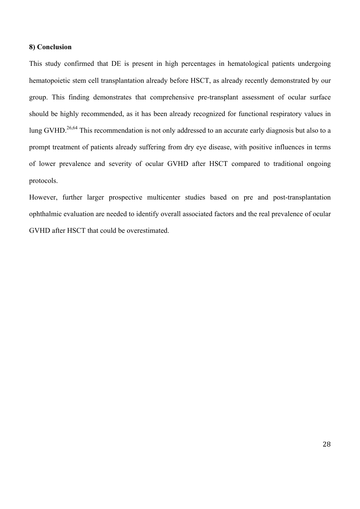## **8) Conclusion**

This study confirmed that DE is present in high percentages in hematological patients undergoing hematopoietic stem cell transplantation already before HSCT, as already recently demonstrated by our group. This finding demonstrates that comprehensive pre-transplant assessment of ocular surface should be highly recommended, as it has been already recognized for functional respiratory values in lung GVHD.<sup>26,64</sup> This recommendation is not only addressed to an accurate early diagnosis but also to a prompt treatment of patients already suffering from dry eye disease, with positive influences in terms of lower prevalence and severity of ocular GVHD after HSCT compared to traditional ongoing protocols.

However, further larger prospective multicenter studies based on pre and post-transplantation ophthalmic evaluation are needed to identify overall associated factors and the real prevalence of ocular GVHD after HSCT that could be overestimated.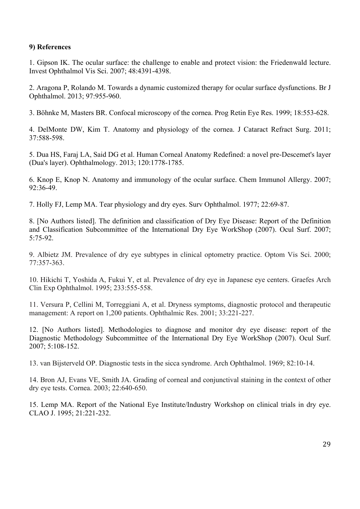# **9) References**

1. Gipson IK. The ocular surface: the challenge to enable and protect vision: the Friedenwald lecture. Invest Ophthalmol Vis Sci. 2007; 48:4391-4398.

2. Aragona P, Rolando M. Towards a dynamic customized therapy for ocular surface dysfunctions. Br J Ophthalmol. 2013; 97:955-960.

3. Böhnke M, Masters BR. Confocal microscopy of the cornea. Prog Retin Eye Res. 1999; 18:553-628.

4. DelMonte DW, Kim T. Anatomy and physiology of the cornea. J Cataract Refract Surg. 2011; 37:588-598.

5. Dua HS, Faraj LA, Said DG et al. Human Corneal Anatomy Redefined: a novel pre-Descemet's layer (Dua's layer). Ophthalmology. 2013; 120:1778-1785.

6. Knop E, Knop N. Anatomy and immunology of the ocular surface. Chem Immunol Allergy. 2007; 92:36-49.

7. Holly FJ, Lemp MA. Tear physiology and dry eyes. Surv Ophthalmol. 1977; 22:69-87.

8. [No Authors listed]. The definition and classification of Dry Eye Disease: Report of the Definition and Classification Subcommittee of the International Dry Eye WorkShop (2007). Ocul Surf. 2007; 5:75-92.

9. Albietz JM. Prevalence of dry eye subtypes in clinical optometry practice. Optom Vis Sci. 2000; 77:357-363.

10. Hikichi T, Yoshida A, Fukui Y, et al. Prevalence of dry eye in Japanese eye centers. Graefes Arch Clin Exp Ophthalmol. 1995; 233:555-558.

11. Versura P, Cellini M, Torreggiani A, et al. Dryness symptoms, diagnostic protocol and therapeutic management: A report on 1,200 patients. Ophthalmic Res. 2001; 33:221-227.

12. [No Authors listed]. Methodologies to diagnose and monitor dry eye disease: report of the Diagnostic Methodology Subcommittee of the International Dry Eye WorkShop (2007). Ocul Surf. 2007; 5:108-152.

13. van Bijsterveld OP. Diagnostic tests in the sicca syndrome. Arch Ophthalmol. 1969; 82:10-14.

14. Bron AJ, Evans VE, Smith JA. Grading of corneal and conjunctival staining in the context of other dry eye tests. Cornea. 2003; 22:640-650.

15. Lemp MA. Report of the National Eye Institute/Industry Workshop on clinical trials in dry eye. CLAO J. 1995; 21:221-232.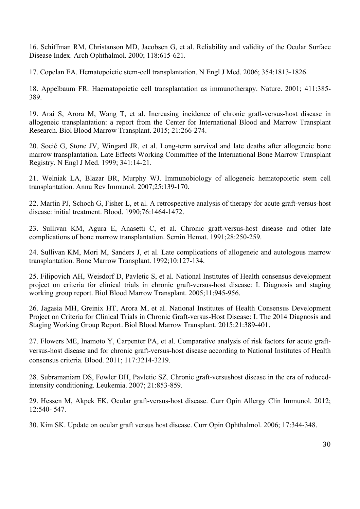16. Schiffman RM, Christanson MD, Jacobsen G, et al. Reliability and validity of the Ocular Surface Disease Index. Arch Ophthalmol. 2000; 118:615-621.

17. Copelan EA. Hematopoietic stem-cell transplantation. N Engl J Med. 2006; 354:1813-1826.

18. Appelbaum FR. Haematopoietic cell transplantation as immunotherapy. Nature. 2001; 411:385- 389.

19. Arai S, Arora M, Wang T, et al. Increasing incidence of chronic graft-versus-host disease in allogeneic transplantation: a report from the Center for International Blood and Marrow Transplant Research. Biol Blood Marrow Transplant. 2015; 21:266-274.

20. Socié G, Stone JV, Wingard JR, et al. Long-term survival and late deaths after allogeneic bone marrow transplantation. Late Effects Working Committee of the International Bone Marrow Transplant Registry. N Engl J Med. 1999; 341:14-21.

21. Welniak LA, Blazar BR, Murphy WJ. Immunobiology of allogeneic hematopoietic stem cell transplantation. Annu Rev Immunol. 2007;25:139-170.

22. Martin PJ, Schoch G, Fisher L, et al. A retrospective analysis of therapy for acute graft-versus-host disease: initial treatment. Blood. 1990;76:1464-1472.

23. Sullivan KM, Agura E, Anasetti C, et al. Chronic graft-versus-host disease and other late complications of bone marrow transplantation. Semin Hemat. 1991;28:250-259.

24. Sullivan KM, Mori M, Sanders J, et al. Late complications of allogeneic and autologous marrow transplantation. Bone Marrow Transplant. 1992;10:127-134.

25. Filipovich AH, Weisdorf D, Pavletic S, et al. National Institutes of Health consensus development project on criteria for clinical trials in chronic graft-versus-host disease: I. Diagnosis and staging working group report. Biol Blood Marrow Transplant. 2005;11:945-956.

26. Jagasia MH, Greinix HT, Arora M, et al. National Institutes of Health Consensus Development Project on Criteria for Clinical Trials in Chronic Graft-versus-Host Disease: I. The 2014 Diagnosis and Staging Working Group Report. Biol Blood Marrow Transplant. 2015;21:389-401.

27. Flowers ME, Inamoto Y, Carpenter PA, et al. Comparative analysis of risk factors for acute graftversus-host disease and for chronic graft-versus-host disease according to National Institutes of Health consensus criteria. Blood. 2011; 117:3214-3219.

28. Subramaniam DS, Fowler DH, Pavletic SZ. Chronic graft-versushost disease in the era of reducedintensity conditioning. Leukemia. 2007; 21:853-859.

29. Hessen M, Akpek EK. Ocular graft-versus-host disease. Curr Opin Allergy Clin Immunol. 2012; 12:540- 547.

30. Kim SK. Update on ocular graft versus host disease. Curr Opin Ophthalmol. 2006; 17:344-348.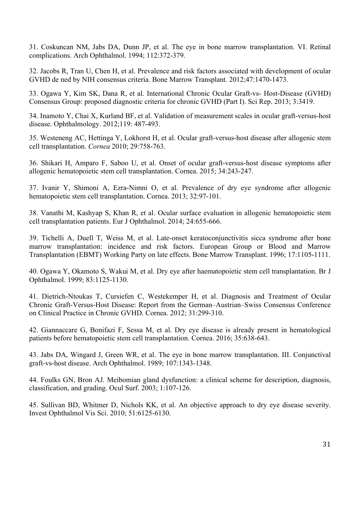31. Coskuncan NM, Jabs DA, Dunn JP, et al. The eye in bone marrow transplantation. VI. Retinal complications. Arch Ophthalmol. 1994; 112:372-379.

32. Jacobs R, Tran U, Chen H, et al. Prevalence and risk factors associated with development of ocular GVHD de ned by NIH consensus criteria. Bone Marrow Transplant. 2012;47:1470-1473.

33. Ogawa Y, Kim SK, Dana R, et al. International Chronic Ocular Graft-vs- Host-Disease (GVHD) Consensus Group: proposed diagnostic criteria for chronic GVHD (Part I). Sci Rep. 2013; 3:3419.

34. Inamoto Y, Chai X, Kurland BF, et al. Validation of measurement scales in ocular graft-versus-host disease. Ophthalmology. 2012;119: 487-493.

35. Westeneng AC, Hettinga Y, Lokhorst H, et al. Ocular graft-versus-host disease after allogenic stem cell transplantation. *Cornea* 2010; 29:758-763.

36. Shikari H, Amparo F, Saboo U, et al. Onset of ocular graft-versus-host disease symptoms after allogenic hematopoietic stem cell transplantation. Cornea. 2015; 34:243-247.

37. Ivanir Y, Shimoni A, Ezra-Nimni O, et al. Prevalence of dry eye syndrome after allogenic hematopoietic stem cell transplantation. Cornea. 2013; 32:97-101.

38. Vanathi M, Kashyap S, Khan R, et al. Ocular surface evaluation in allogenic hematopoietic stem cell transplantation patients. Eur J Ophthalmol. 2014; 24:655-666.

39. Tichelli A, Duell T, Weiss M, et al. Late-onset keratoconjunctivitis sicca syndrome after bone marrow transplantation: incidence and risk factors. European Group or Blood and Marrow Transplantation (EBMT) Working Party on late effects. Bone Marrow Transplant. 1996; 17:1105-1111.

40. Ogawa Y, Okamoto S, Wakui M, et al. Dry eye after haematopoietic stem cell transplantation. Br J Ophthalmol. 1999; 83:1125-1130.

41. Dietrich-Ntoukas T, Cursiefen C, Westekemper H, et al. Diagnosis and Treatment of Ocular Chronic Graft-Versus-Host Disease: Report from the German–Austrian–Swiss Consensus Conference on Clinical Practice in Chronic GVHD. Cornea. 2012; 31:299-310.

42. Giannaccare G, Bonifazi F, Sessa M, et al. Dry eye disease is already present in hematological patients before hematopoietic stem cell transplantation. Cornea. 2016; 35:638-643.

43. Jabs DA, Wingard J, Green WR, et al. The eye in bone marrow transplantation. III. Conjunctival graft-vs-host disease. Arch Ophthalmol. 1989; 107:1343-1348.

44. Foulks GN, Bron AJ. Meibomian gland dysfunction: a clinical scheme for description, diagnosis, classification, and grading. Ocul Surf. 2003; 1:107-126.

45. Sullivan BD, Whitmer D, Nichols KK, et al. An objective approach to dry eye disease severity. Invest Ophthalmol Vis Sci. 2010; 51:6125-6130.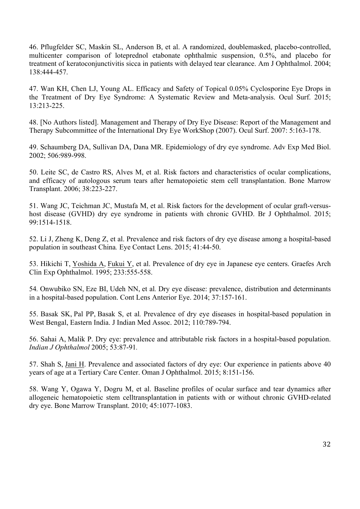46. Pflugfelder SC, Maskin SL, Anderson B, et al. A randomized, doublemasked, placebo-controlled, multicenter comparison of loteprednol etabonate ophthalmic suspension, 0.5%, and placebo for treatment of keratoconjunctivitis sicca in patients with delayed tear clearance. Am J Ophthalmol. 2004; 138:444-457.

47. Wan KH, Chen LJ, Young AL. Efficacy and Safety of Topical 0.05% Cyclosporine Eye Drops in the Treatment of Dry Eye Syndrome: A Systematic Review and Meta-analysis. Ocul Surf. 2015; 13:213-225.

48. [No Authors listed]. Management and Therapy of Dry Eye Disease: Report of the Management and Therapy Subcommittee of the International Dry Eye WorkShop (2007). Ocul Surf. 2007: 5:163-178.

49. Schaumberg DA, Sullivan DA, Dana MR. Epidemiology of dry eye syndrome. Adv Exp Med Biol. 2002; 506:989-998.

50. Leite SC, de Castro RS, Alves M, et al. Risk factors and characteristics of ocular complications, and efficacy of autologous serum tears after hematopoietic stem cell transplantation. Bone Marrow Transplant. 2006; 38:223-227.

51. Wang JC, Teichman JC, Mustafa M, et al. Risk factors for the development of ocular graft-versushost disease (GVHD) dry eye syndrome in patients with chronic GVHD. Br J Ophthalmol. 2015; 99:1514-1518.

52. Li J, Zheng K, Deng Z, et al. Prevalence and risk factors of dry eye disease among a hospital-based population in southeast China*.* Eye Contact Lens. 2015; 41:44-50.

53. Hikichi T, Yoshida A, Fukui Y, et al. Prevalence of dry eye in Japanese eye centers. Graefes Arch Clin Exp Ophthalmol. 1995; 233:555-558.

54*.* Onwubiko SN, Eze BI, Udeh NN, et al*.* Dry eye disease: prevalence, distribution and determinants in a hospital-based population. Cont Lens Anterior Eye. 2014; 37:157-161.

55. Basak SK, Pal PP, Basak S, et al*.* Prevalence of dry eye diseases in hospital-based population in West Bengal, Eastern India. J Indian Med Assoc. 2012; 110:789-794.

56. Sahai A, Malik P. Dry eye: prevalence and attributable risk factors in a hospital-based population. *Indian J Ophthalmol* 2005; 53:87-91*.*

57. Shah S, Jani H. Prevalence and associated factors of dry eye: Our experience in patients above 40 years of age at a Tertiary Care Center. Oman J Ophthalmol. 2015; 8:151-156.

58. Wang Y, Ogawa Y, Dogru M, et al. Baseline profiles of ocular surface and tear dynamics after allogeneic hematopoietic stem celltransplantation in patients with or without chronic GVHD-related dry eye. Bone Marrow Transplant. 2010; 45:1077-1083.